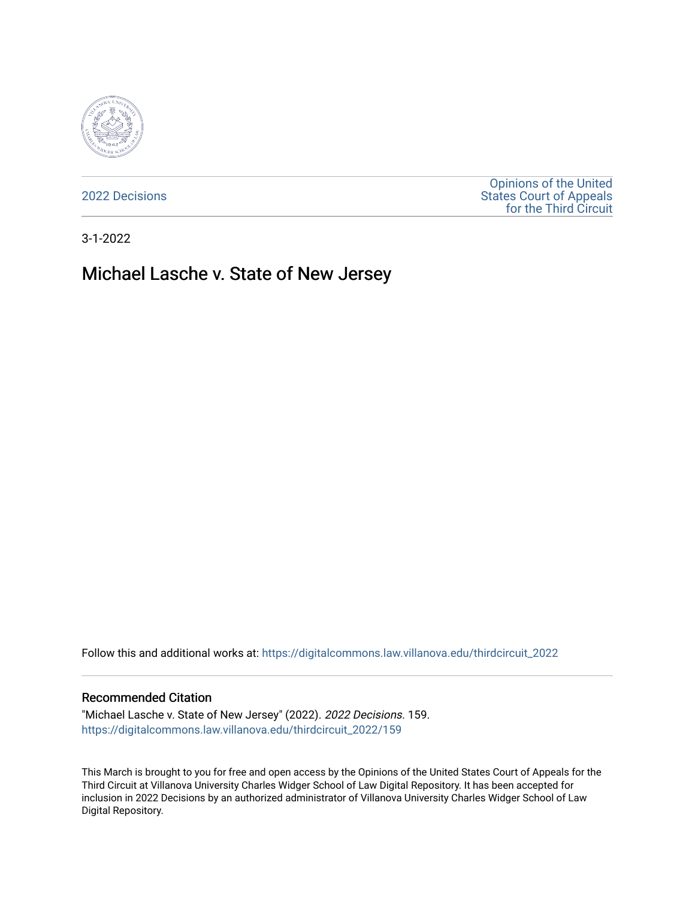

[2022 Decisions](https://digitalcommons.law.villanova.edu/thirdcircuit_2022)

[Opinions of the United](https://digitalcommons.law.villanova.edu/thirdcircuit)  [States Court of Appeals](https://digitalcommons.law.villanova.edu/thirdcircuit)  [for the Third Circuit](https://digitalcommons.law.villanova.edu/thirdcircuit) 

3-1-2022

# Michael Lasche v. State of New Jersey

Follow this and additional works at: [https://digitalcommons.law.villanova.edu/thirdcircuit\\_2022](https://digitalcommons.law.villanova.edu/thirdcircuit_2022?utm_source=digitalcommons.law.villanova.edu%2Fthirdcircuit_2022%2F159&utm_medium=PDF&utm_campaign=PDFCoverPages) 

#### Recommended Citation

"Michael Lasche v. State of New Jersey" (2022). 2022 Decisions. 159. [https://digitalcommons.law.villanova.edu/thirdcircuit\\_2022/159](https://digitalcommons.law.villanova.edu/thirdcircuit_2022/159?utm_source=digitalcommons.law.villanova.edu%2Fthirdcircuit_2022%2F159&utm_medium=PDF&utm_campaign=PDFCoverPages)

This March is brought to you for free and open access by the Opinions of the United States Court of Appeals for the Third Circuit at Villanova University Charles Widger School of Law Digital Repository. It has been accepted for inclusion in 2022 Decisions by an authorized administrator of Villanova University Charles Widger School of Law Digital Repository.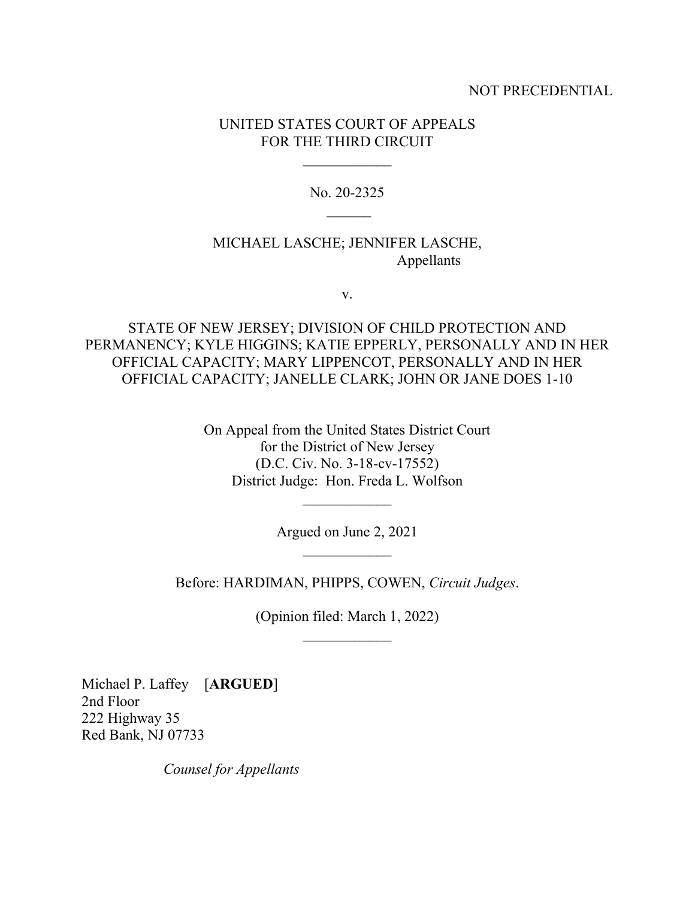## NOT PRECEDENTIAL

# UNITED STATES COURT OF APPEALS FOR THE THIRD CIRCUIT

 $\frac{1}{2}$ 

No. 20-2325  $\overline{\phantom{a}}$ 

# MICHAEL LASCHE; JENNIFER LASCHE, Appellants

v.

STATE OF NEW JERSEY; DIVISION OF CHILD PROTECTION AND PERMANENCY; KYLE HIGGINS; KATIE EPPERLY, PERSONALLY AND IN HER OFFICIAL CAPACITY; MARY LIPPENCOT, PERSONALLY AND IN HER OFFICIAL CAPACITY; JANELLE CLARK; JOHN OR JANE DOES 1-10

> On Appeal from the United States District Court for the District of New Jersey (D.C. Civ. No. 3-18-cv-17552) District Judge: Hon. Freda L. Wolfson

> > Argued on June 2, 2021  $\overline{\phantom{a}}$

 $\frac{1}{2}$ 

Before: HARDIMAN, PHIPPS, COWEN, *Circuit Judges*.

(Opinion filed: March 1, 2022)  $\frac{1}{2}$ 

Michael P. Laffey [**ARGUED**] 2nd Floor 222 Highway 35 Red Bank, NJ 07733

*Counsel for Appellants*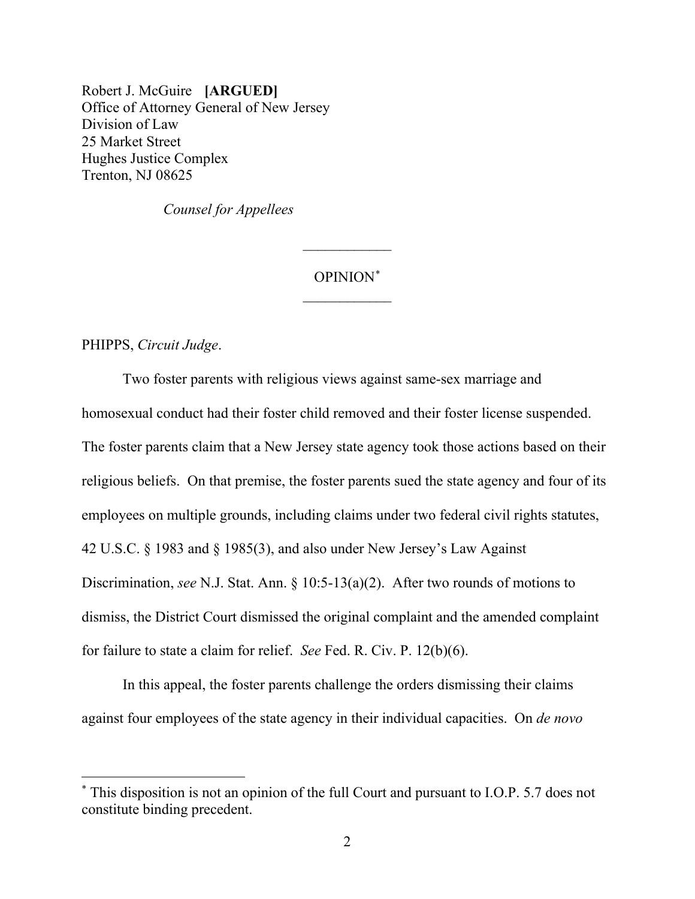Robert J. McGuire **[ARGUED]** Office of Attorney General of New Jersey Division of Law 25 Market Street Hughes Justice Complex Trenton, NJ 08625

*Counsel for Appellees*

# OPINION\*  $\frac{1}{2}$

 $\frac{1}{2}$ 

PHIPPS, *Circuit Judge*.

Two foster parents with religious views against same-sex marriage and homosexual conduct had their foster child removed and their foster license suspended. The foster parents claim that a New Jersey state agency took those actions based on their religious beliefs. On that premise, the foster parents sued the state agency and four of its employees on multiple grounds, including claims under two federal civil rights statutes, 42 U.S.C. § 1983 and § 1985(3), and also under New Jersey's Law Against Discrimination, *see* N.J. Stat. Ann. § 10:5-13(a)(2). After two rounds of motions to dismiss, the District Court dismissed the original complaint and the amended complaint for failure to state a claim for relief. *See* Fed. R. Civ. P. 12(b)(6).

In this appeal, the foster parents challenge the orders dismissing their claims against four employees of the state agency in their individual capacities. On *de novo*

<sup>\*</sup> This disposition is not an opinion of the full Court and pursuant to I.O.P. 5.7 does not constitute binding precedent.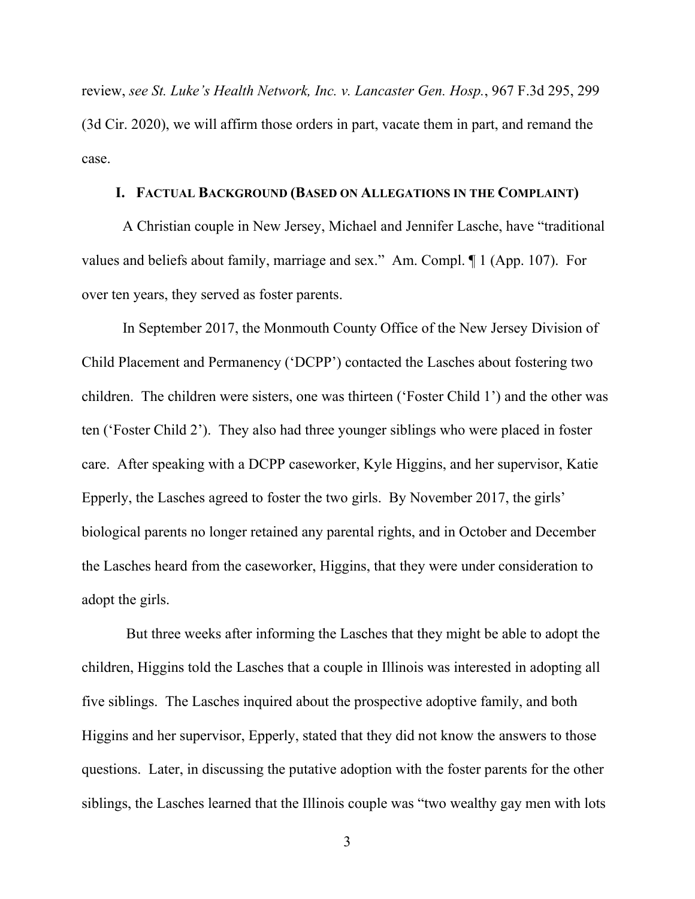review, *see St. Luke's Health Network, Inc. v. Lancaster Gen. Hosp.*, 967 F.3d 295, 299 (3d Cir. 2020), we will affirm those orders in part, vacate them in part, and remand the case.

#### **I. FACTUAL BACKGROUND (BASED ON ALLEGATIONS IN THE COMPLAINT)**

A Christian couple in New Jersey, Michael and Jennifer Lasche, have "traditional values and beliefs about family, marriage and sex." Am. Compl. ¶ 1 (App. 107). For over ten years, they served as foster parents.

In September 2017, the Monmouth County Office of the New Jersey Division of Child Placement and Permanency ('DCPP') contacted the Lasches about fostering two children. The children were sisters, one was thirteen ('Foster Child 1') and the other was ten ('Foster Child 2'). They also had three younger siblings who were placed in foster care. After speaking with a DCPP caseworker, Kyle Higgins, and her supervisor, Katie Epperly, the Lasches agreed to foster the two girls. By November 2017, the girls' biological parents no longer retained any parental rights, and in October and December the Lasches heard from the caseworker, Higgins, that they were under consideration to adopt the girls.

But three weeks after informing the Lasches that they might be able to adopt the children, Higgins told the Lasches that a couple in Illinois was interested in adopting all five siblings. The Lasches inquired about the prospective adoptive family, and both Higgins and her supervisor, Epperly, stated that they did not know the answers to those questions. Later, in discussing the putative adoption with the foster parents for the other siblings, the Lasches learned that the Illinois couple was "two wealthy gay men with lots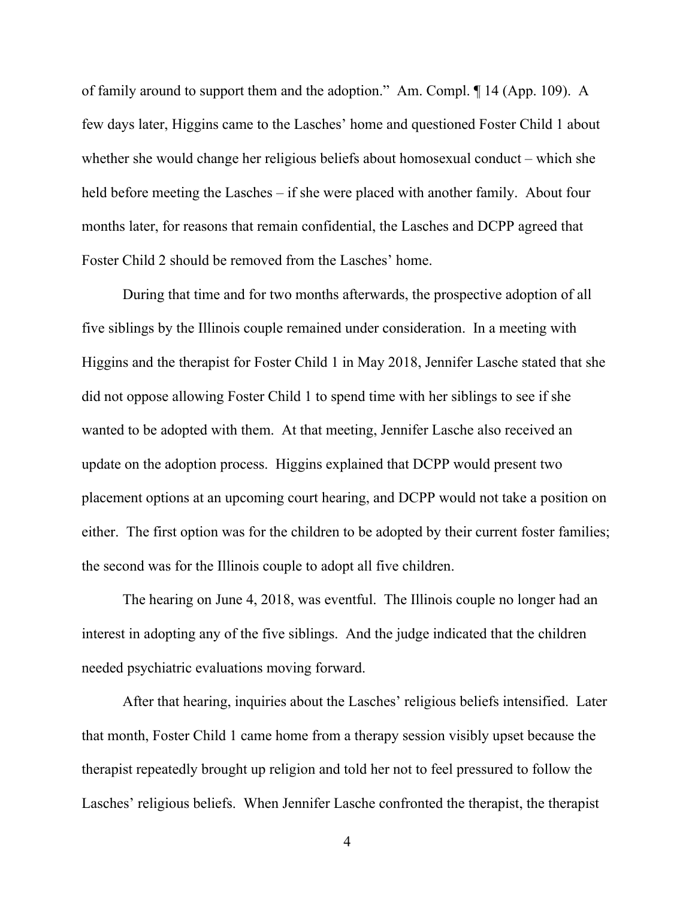of family around to support them and the adoption." Am. Compl. ¶ 14 (App. 109). A few days later, Higgins came to the Lasches' home and questioned Foster Child 1 about whether she would change her religious beliefs about homosexual conduct – which she held before meeting the Lasches – if she were placed with another family. About four months later, for reasons that remain confidential, the Lasches and DCPP agreed that Foster Child 2 should be removed from the Lasches' home.

During that time and for two months afterwards, the prospective adoption of all five siblings by the Illinois couple remained under consideration. In a meeting with Higgins and the therapist for Foster Child 1 in May 2018, Jennifer Lasche stated that she did not oppose allowing Foster Child 1 to spend time with her siblings to see if she wanted to be adopted with them. At that meeting, Jennifer Lasche also received an update on the adoption process. Higgins explained that DCPP would present two placement options at an upcoming court hearing, and DCPP would not take a position on either. The first option was for the children to be adopted by their current foster families; the second was for the Illinois couple to adopt all five children.

The hearing on June 4, 2018, was eventful. The Illinois couple no longer had an interest in adopting any of the five siblings. And the judge indicated that the children needed psychiatric evaluations moving forward.

After that hearing, inquiries about the Lasches' religious beliefs intensified. Later that month, Foster Child 1 came home from a therapy session visibly upset because the therapist repeatedly brought up religion and told her not to feel pressured to follow the Lasches' religious beliefs. When Jennifer Lasche confronted the therapist, the therapist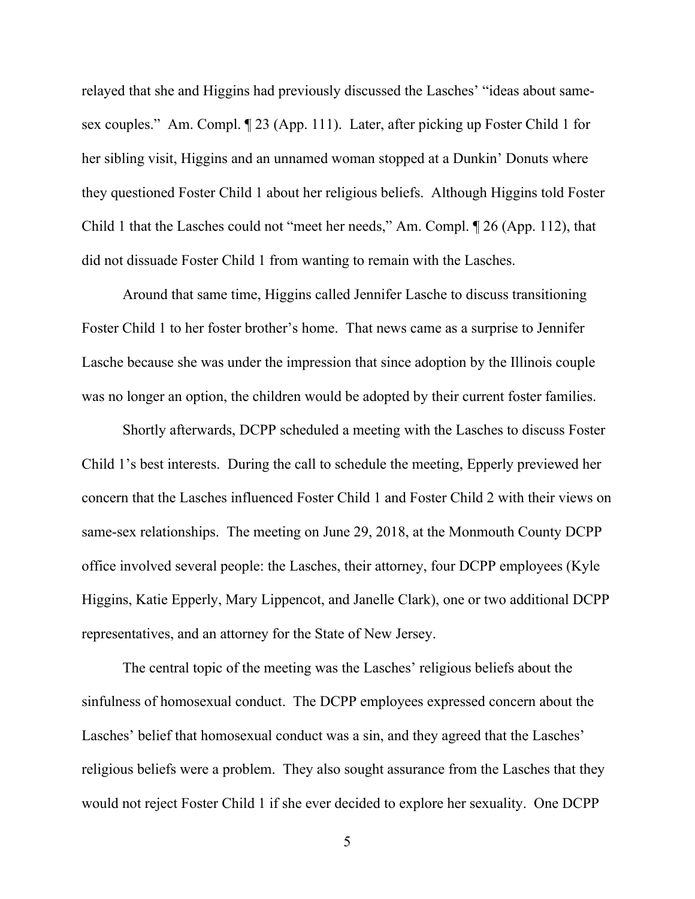relayed that she and Higgins had previously discussed the Lasches' "ideas about samesex couples." Am. Compl. ¶ 23 (App. 111). Later, after picking up Foster Child 1 for her sibling visit, Higgins and an unnamed woman stopped at a Dunkin' Donuts where they questioned Foster Child 1 about her religious beliefs. Although Higgins told Foster Child 1 that the Lasches could not "meet her needs," Am. Compl. ¶ 26 (App. 112), that did not dissuade Foster Child 1 from wanting to remain with the Lasches.

Around that same time, Higgins called Jennifer Lasche to discuss transitioning Foster Child 1 to her foster brother's home. That news came as a surprise to Jennifer Lasche because she was under the impression that since adoption by the Illinois couple was no longer an option, the children would be adopted by their current foster families.

Shortly afterwards, DCPP scheduled a meeting with the Lasches to discuss Foster Child 1's best interests. During the call to schedule the meeting, Epperly previewed her concern that the Lasches influenced Foster Child 1 and Foster Child 2 with their views on same-sex relationships. The meeting on June 29, 2018, at the Monmouth County DCPP office involved several people: the Lasches, their attorney, four DCPP employees (Kyle Higgins, Katie Epperly, Mary Lippencot, and Janelle Clark), one or two additional DCPP representatives, and an attorney for the State of New Jersey.

The central topic of the meeting was the Lasches' religious beliefs about the sinfulness of homosexual conduct. The DCPP employees expressed concern about the Lasches' belief that homosexual conduct was a sin, and they agreed that the Lasches' religious beliefs were a problem. They also sought assurance from the Lasches that they would not reject Foster Child 1 if she ever decided to explore her sexuality. One DCPP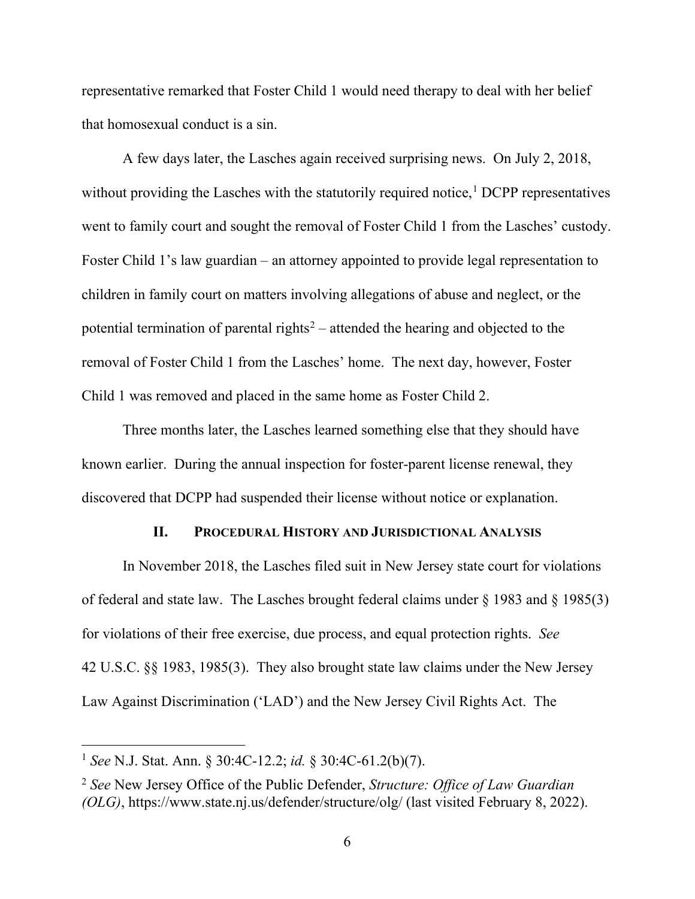representative remarked that Foster Child 1 would need therapy to deal with her belief that homosexual conduct is a sin.

A few days later, the Lasches again received surprising news. On July 2, 2018, without providing the Lasches with the statutorily required notice, $1$  DCPP representatives went to family court and sought the removal of Foster Child 1 from the Lasches' custody. Foster Child 1's law guardian – an attorney appointed to provide legal representation to children in family court on matters involving allegations of abuse and neglect, or the potential termination of parental rights<sup>2</sup> – attended the hearing and objected to the removal of Foster Child 1 from the Lasches' home. The next day, however, Foster Child 1 was removed and placed in the same home as Foster Child 2.

Three months later, the Lasches learned something else that they should have known earlier. During the annual inspection for foster-parent license renewal, they discovered that DCPP had suspended their license without notice or explanation.

## **II. PROCEDURAL HISTORY AND JURISDICTIONAL ANALYSIS**

In November 2018, the Lasches filed suit in New Jersey state court for violations of federal and state law. The Lasches brought federal claims under  $\S$  1983 and  $\S$  1985(3) for violations of their free exercise, due process, and equal protection rights. *See*  42 U.S.C. §§ 1983, 1985(3). They also brought state law claims under the New Jersey Law Against Discrimination ('LAD') and the New Jersey Civil Rights Act. The

<sup>1</sup> *See* N.J. Stat. Ann. § 30:4C-12.2; *id.* § 30:4C-61.2(b)(7).

<sup>2</sup> *See* New Jersey Office of the Public Defender, *Structure: Office of Law Guardian (OLG)*, https://www.state.nj.us/defender/structure/olg/ (last visited February 8, 2022).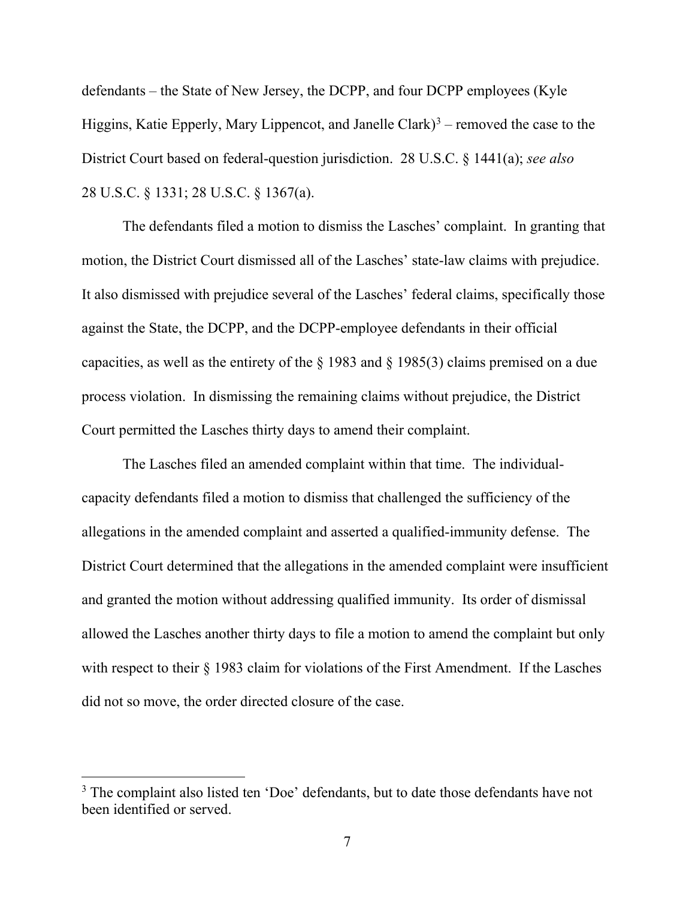defendants – the State of New Jersey, the DCPP, and four DCPP employees (Kyle Higgins, Katie Epperly, Mary Lippencot, and Janelle Clark)<sup>3</sup> – removed the case to the District Court based on federal-question jurisdiction. 28 U.S.C. § 1441(a); *see also* 28 U.S.C. § 1331; 28 U.S.C. § 1367(a).

The defendants filed a motion to dismiss the Lasches' complaint. In granting that motion, the District Court dismissed all of the Lasches' state-law claims with prejudice. It also dismissed with prejudice several of the Lasches' federal claims, specifically those against the State, the DCPP, and the DCPP-employee defendants in their official capacities, as well as the entirety of the § 1983 and § 1985(3) claims premised on a due process violation. In dismissing the remaining claims without prejudice, the District Court permitted the Lasches thirty days to amend their complaint.

The Lasches filed an amended complaint within that time. The individualcapacity defendants filed a motion to dismiss that challenged the sufficiency of the allegations in the amended complaint and asserted a qualified-immunity defense. The District Court determined that the allegations in the amended complaint were insufficient and granted the motion without addressing qualified immunity. Its order of dismissal allowed the Lasches another thirty days to file a motion to amend the complaint but only with respect to their § 1983 claim for violations of the First Amendment. If the Lasches did not so move, the order directed closure of the case.

<sup>&</sup>lt;sup>3</sup> The complaint also listed ten 'Doe' defendants, but to date those defendants have not been identified or served.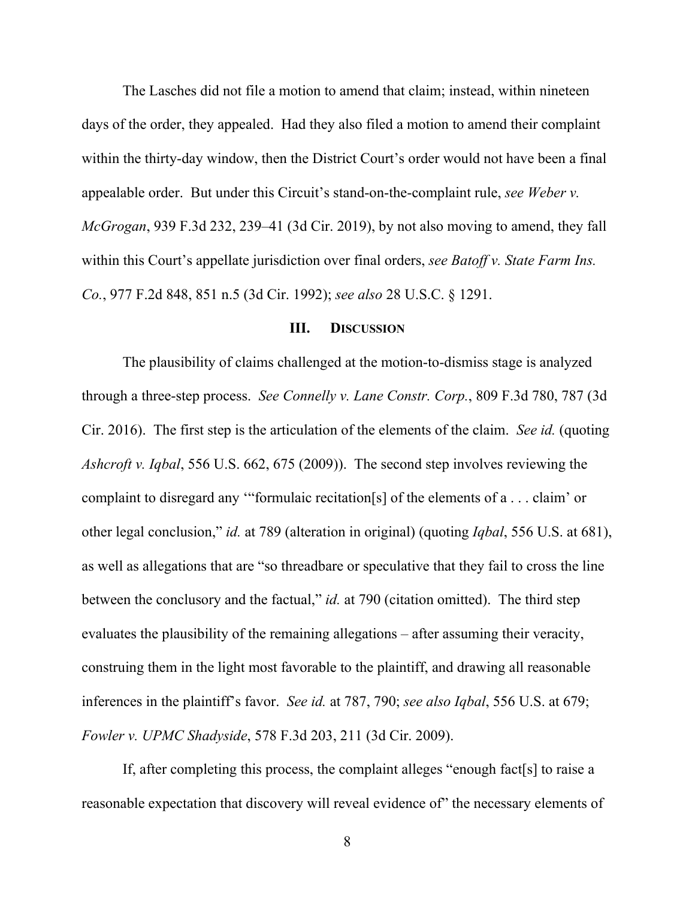The Lasches did not file a motion to amend that claim; instead, within nineteen days of the order, they appealed. Had they also filed a motion to amend their complaint within the thirty-day window, then the District Court's order would not have been a final appealable order. But under this Circuit's stand-on-the-complaint rule, *see Weber v. McGrogan*, 939 F.3d 232, 239–41 (3d Cir. 2019), by not also moving to amend, they fall within this Court's appellate jurisdiction over final orders, *see Batoff v. State Farm Ins. Co.*, 977 F.2d 848, 851 n.5 (3d Cir. 1992); *see also* 28 U.S.C. § 1291.

#### **III. DISCUSSION**

The plausibility of claims challenged at the motion-to-dismiss stage is analyzed through a three-step process. *See Connelly v. Lane Constr. Corp.*, 809 F.3d 780, 787 (3d Cir. 2016). The first step is the articulation of the elements of the claim. *See id.* (quoting *Ashcroft v. Iqbal*, 556 U.S. 662, 675 (2009)). The second step involves reviewing the complaint to disregard any '"formulaic recitation[s] of the elements of a . . . claim' or other legal conclusion," *id.* at 789 (alteration in original) (quoting *Iqbal*, 556 U.S. at 681), as well as allegations that are "so threadbare or speculative that they fail to cross the line between the conclusory and the factual," *id.* at 790 (citation omitted). The third step evaluates the plausibility of the remaining allegations – after assuming their veracity, construing them in the light most favorable to the plaintiff, and drawing all reasonable inferences in the plaintiff's favor. *See id.* at 787, 790; *see also Iqbal*, 556 U.S. at 679; *Fowler v. UPMC Shadyside*, 578 F.3d 203, 211 (3d Cir. 2009).

If, after completing this process, the complaint alleges "enough fact[s] to raise a reasonable expectation that discovery will reveal evidence of the necessary elements of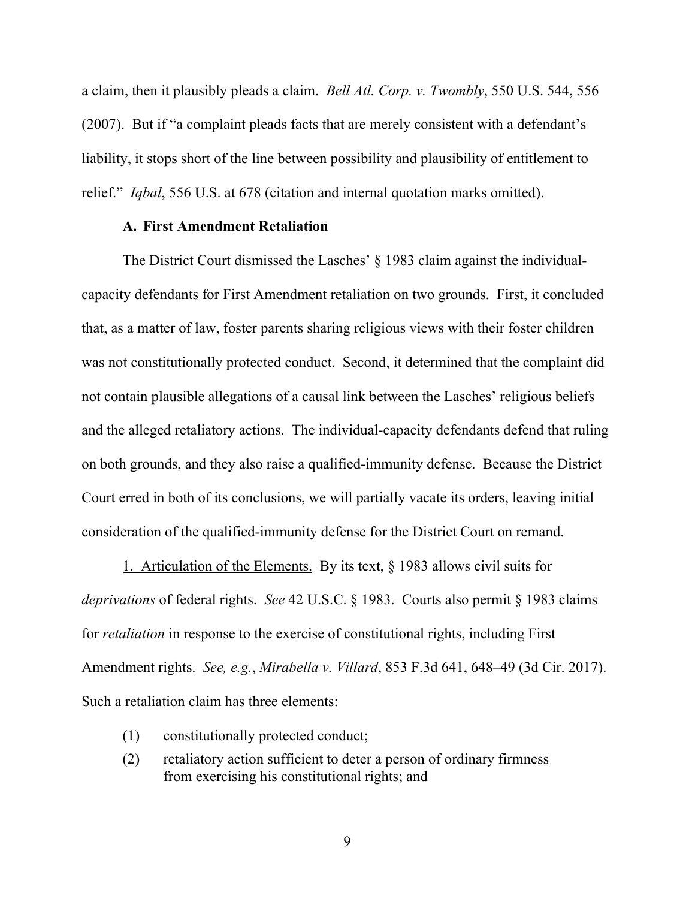a claim, then it plausibly pleads a claim. *Bell Atl. Corp. v. Twombly*, 550 U.S. 544, 556 (2007). But if "a complaint pleads facts that are merely consistent with a defendant's liability, it stops short of the line between possibility and plausibility of entitlement to relief." *Iqbal*, 556 U.S. at 678 (citation and internal quotation marks omitted).

# **A. First Amendment Retaliation**

The District Court dismissed the Lasches' § 1983 claim against the individualcapacity defendants for First Amendment retaliation on two grounds. First, it concluded that, as a matter of law, foster parents sharing religious views with their foster children was not constitutionally protected conduct. Second, it determined that the complaint did not contain plausible allegations of a causal link between the Lasches' religious beliefs and the alleged retaliatory actions. The individual-capacity defendants defend that ruling on both grounds, and they also raise a qualified-immunity defense. Because the District Court erred in both of its conclusions, we will partially vacate its orders, leaving initial consideration of the qualified-immunity defense for the District Court on remand.

1. Articulation of the Elements. By its text,  $\S$  1983 allows civil suits for *deprivations* of federal rights. *See* 42 U.S.C. § 1983. Courts also permit § 1983 claims for *retaliation* in response to the exercise of constitutional rights, including First Amendment rights. *See, e.g.*, *Mirabella v. Villard*, 853 F.3d 641, 648–49 (3d Cir. 2017). Such a retaliation claim has three elements:

- (1) constitutionally protected conduct;
- (2) retaliatory action sufficient to deter a person of ordinary firmness from exercising his constitutional rights; and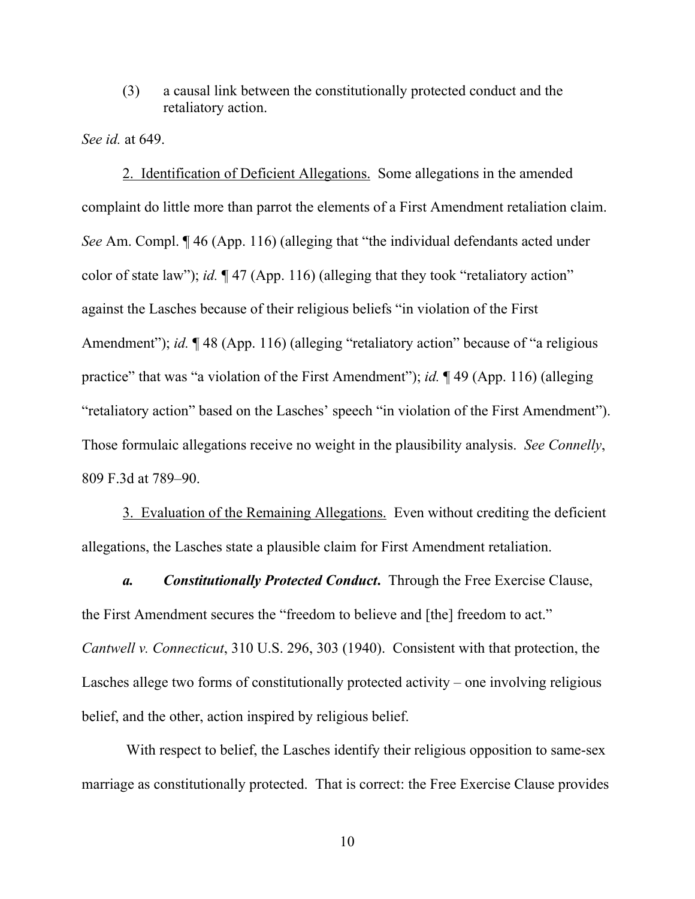(3) a causal link between the constitutionally protected conduct and the retaliatory action.

*See id.* at 649.

2. Identification of Deficient Allegations. Some allegations in the amended complaint do little more than parrot the elements of a First Amendment retaliation claim. *See* Am. Compl. ¶ 46 (App. 116) (alleging that "the individual defendants acted under color of state law"); *id.* ¶ 47 (App. 116) (alleging that they took "retaliatory action" against the Lasches because of their religious beliefs "in violation of the First Amendment"); *id.*  $\sqrt{48}$  (App. 116) (alleging "retaliatory action" because of "a religious practice" that was "a violation of the First Amendment"); *id.* ¶ 49 (App. 116) (alleging "retaliatory action" based on the Lasches' speech "in violation of the First Amendment"). Those formulaic allegations receive no weight in the plausibility analysis. *See Connelly*, 809 F.3d at 789–90.

3. Evaluation of the Remaining Allegations. Even without crediting the deficient allegations, the Lasches state a plausible claim for First Amendment retaliation.

*a. Constitutionally Protected Conduct***.** Through the Free Exercise Clause, the First Amendment secures the "freedom to believe and [the] freedom to act." *Cantwell v. Connecticut*, 310 U.S. 296, 303 (1940). Consistent with that protection, the Lasches allege two forms of constitutionally protected activity – one involving religious belief, and the other, action inspired by religious belief.

With respect to belief, the Lasches identify their religious opposition to same-sex marriage as constitutionally protected. That is correct: the Free Exercise Clause provides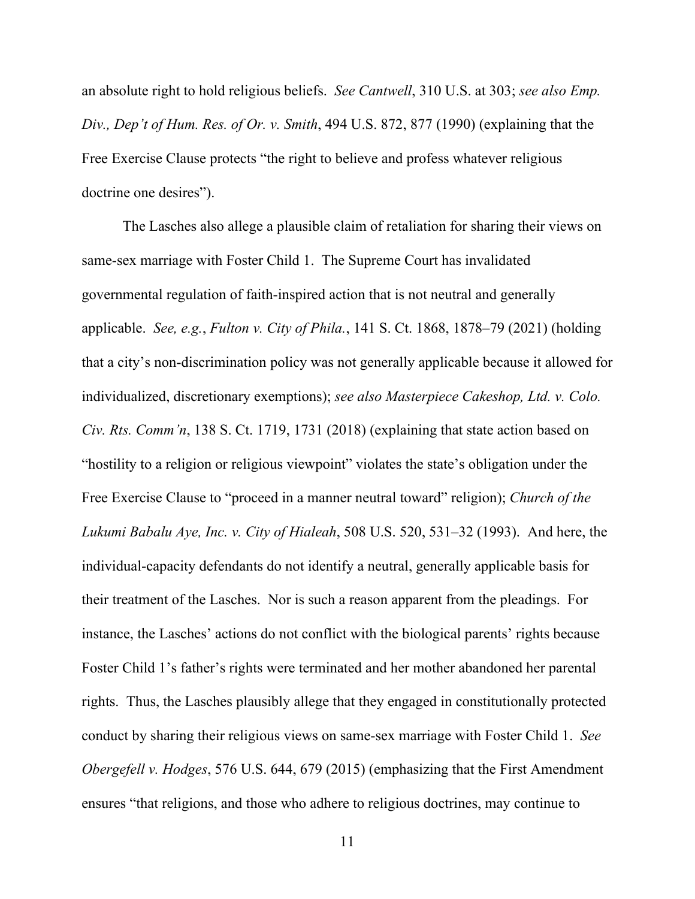an absolute right to hold religious beliefs. *See Cantwell*, 310 U.S. at 303; *see also Emp. Div., Dep't of Hum. Res. of Or. v. Smith*, 494 U.S. 872, 877 (1990) (explaining that the Free Exercise Clause protects "the right to believe and profess whatever religious doctrine one desires").

The Lasches also allege a plausible claim of retaliation for sharing their views on same-sex marriage with Foster Child 1. The Supreme Court has invalidated governmental regulation of faith-inspired action that is not neutral and generally applicable. *See, e.g.*, *Fulton v. City of Phila.*, 141 S. Ct. 1868, 1878–79 (2021) (holding that a city's non-discrimination policy was not generally applicable because it allowed for individualized, discretionary exemptions); *see also Masterpiece Cakeshop, Ltd. v. Colo. Civ. Rts. Comm'n*, 138 S. Ct. 1719, 1731 (2018) (explaining that state action based on "hostility to a religion or religious viewpoint" violates the state's obligation under the Free Exercise Clause to "proceed in a manner neutral toward" religion); *Church of the Lukumi Babalu Aye, Inc. v. City of Hialeah*, 508 U.S. 520, 531–32 (1993). And here, the individual-capacity defendants do not identify a neutral, generally applicable basis for their treatment of the Lasches. Nor is such a reason apparent from the pleadings. For instance, the Lasches' actions do not conflict with the biological parents' rights because Foster Child 1's father's rights were terminated and her mother abandoned her parental rights. Thus, the Lasches plausibly allege that they engaged in constitutionally protected conduct by sharing their religious views on same-sex marriage with Foster Child 1. *See Obergefell v. Hodges*, 576 U.S. 644, 679 (2015) (emphasizing that the First Amendment ensures "that religions, and those who adhere to religious doctrines, may continue to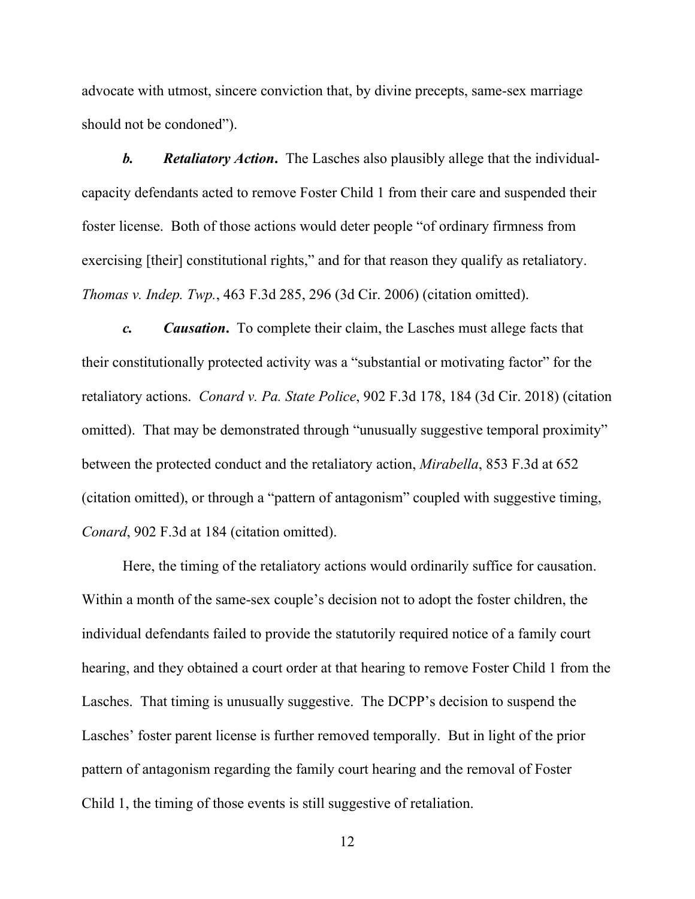advocate with utmost, sincere conviction that, by divine precepts, same-sex marriage should not be condoned").

*b. Retaliatory Action***.** The Lasches also plausibly allege that the individualcapacity defendants acted to remove Foster Child 1 from their care and suspended their foster license. Both of those actions would deter people "of ordinary firmness from exercising [their] constitutional rights," and for that reason they qualify as retaliatory. *Thomas v. Indep. Twp.*, 463 F.3d 285, 296 (3d Cir. 2006) (citation omitted).

*c. Causation***.** To complete their claim, the Lasches must allege facts that their constitutionally protected activity was a "substantial or motivating factor" for the retaliatory actions. *Conard v. Pa. State Police*, 902 F.3d 178, 184 (3d Cir. 2018) (citation omitted). That may be demonstrated through "unusually suggestive temporal proximity" between the protected conduct and the retaliatory action, *Mirabella*, 853 F.3d at 652 (citation omitted), or through a "pattern of antagonism" coupled with suggestive timing, *Conard*, 902 F.3d at 184 (citation omitted).

Here, the timing of the retaliatory actions would ordinarily suffice for causation. Within a month of the same-sex couple's decision not to adopt the foster children, the individual defendants failed to provide the statutorily required notice of a family court hearing, and they obtained a court order at that hearing to remove Foster Child 1 from the Lasches. That timing is unusually suggestive. The DCPP's decision to suspend the Lasches' foster parent license is further removed temporally. But in light of the prior pattern of antagonism regarding the family court hearing and the removal of Foster Child 1, the timing of those events is still suggestive of retaliation.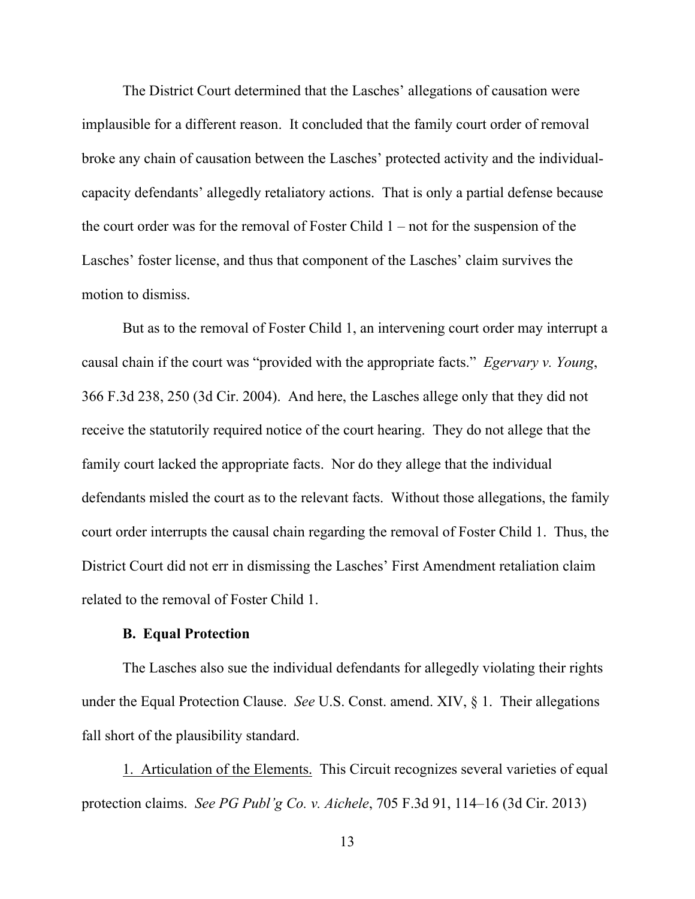The District Court determined that the Lasches' allegations of causation were implausible for a different reason. It concluded that the family court order of removal broke any chain of causation between the Lasches' protected activity and the individualcapacity defendants' allegedly retaliatory actions. That is only a partial defense because the court order was for the removal of Foster Child 1 – not for the suspension of the Lasches' foster license, and thus that component of the Lasches' claim survives the motion to dismiss.

But as to the removal of Foster Child 1, an intervening court order may interrupt a causal chain if the court was "provided with the appropriate facts." *Egervary v. Young*, 366 F.3d 238, 250 (3d Cir. 2004). And here, the Lasches allege only that they did not receive the statutorily required notice of the court hearing. They do not allege that the family court lacked the appropriate facts. Nor do they allege that the individual defendants misled the court as to the relevant facts. Without those allegations, the family court order interrupts the causal chain regarding the removal of Foster Child 1. Thus, the District Court did not err in dismissing the Lasches' First Amendment retaliation claim related to the removal of Foster Child 1.

#### **B. Equal Protection**

The Lasches also sue the individual defendants for allegedly violating their rights under the Equal Protection Clause. *See* U.S. Const. amend. XIV, § 1. Their allegations fall short of the plausibility standard.

1. Articulation of the Elements. This Circuit recognizes several varieties of equal protection claims. *See PG Publ'g Co. v. Aichele*, 705 F.3d 91, 114–16 (3d Cir. 2013)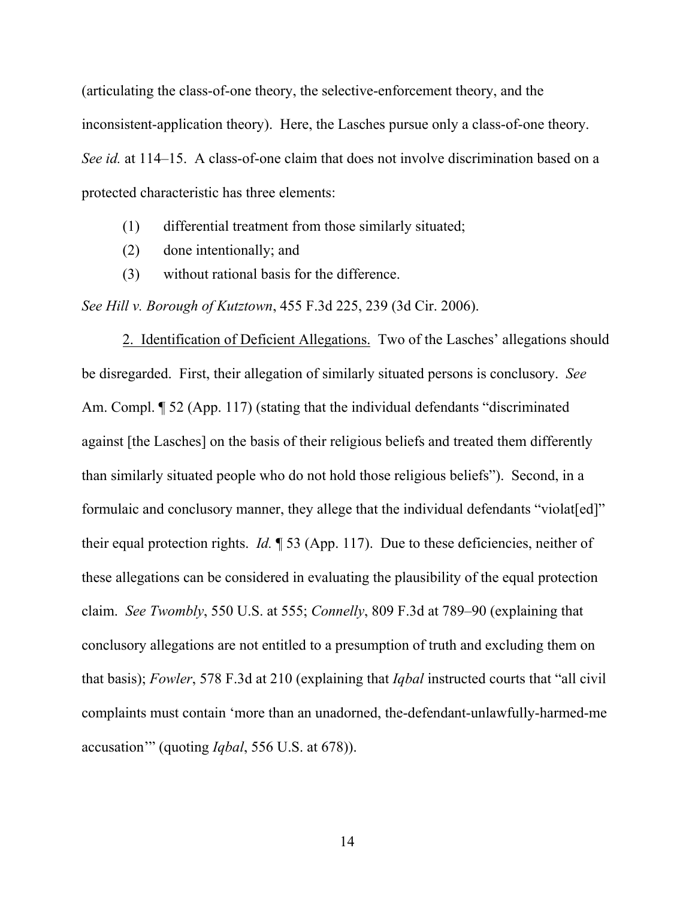(articulating the class-of-one theory, the selective-enforcement theory, and the inconsistent-application theory). Here, the Lasches pursue only a class-of-one theory. *See id.* at 114–15. A class-of-one claim that does not involve discrimination based on a protected characteristic has three elements:

- (1) differential treatment from those similarly situated;
- (2) done intentionally; and
- (3) without rational basis for the difference.

*See Hill v. Borough of Kutztown*, 455 F.3d 225, 239 (3d Cir. 2006).

2. Identification of Deficient Allegations. Two of the Lasches' allegations should be disregarded. First, their allegation of similarly situated persons is conclusory. *See*  Am. Compl. ¶ 52 (App. 117) (stating that the individual defendants "discriminated against [the Lasches] on the basis of their religious beliefs and treated them differently than similarly situated people who do not hold those religious beliefs"). Second, in a formulaic and conclusory manner, they allege that the individual defendants "violat[ed]" their equal protection rights. *Id.* ¶ 53 (App. 117). Due to these deficiencies, neither of these allegations can be considered in evaluating the plausibility of the equal protection claim. *See Twombly*, 550 U.S. at 555; *Connelly*, 809 F.3d at 789–90 (explaining that conclusory allegations are not entitled to a presumption of truth and excluding them on that basis); *Fowler*, 578 F.3d at 210 (explaining that *Iqbal* instructed courts that "all civil complaints must contain 'more than an unadorned, the-defendant-unlawfully-harmed-me accusation'" (quoting *Iqbal*, 556 U.S. at 678)).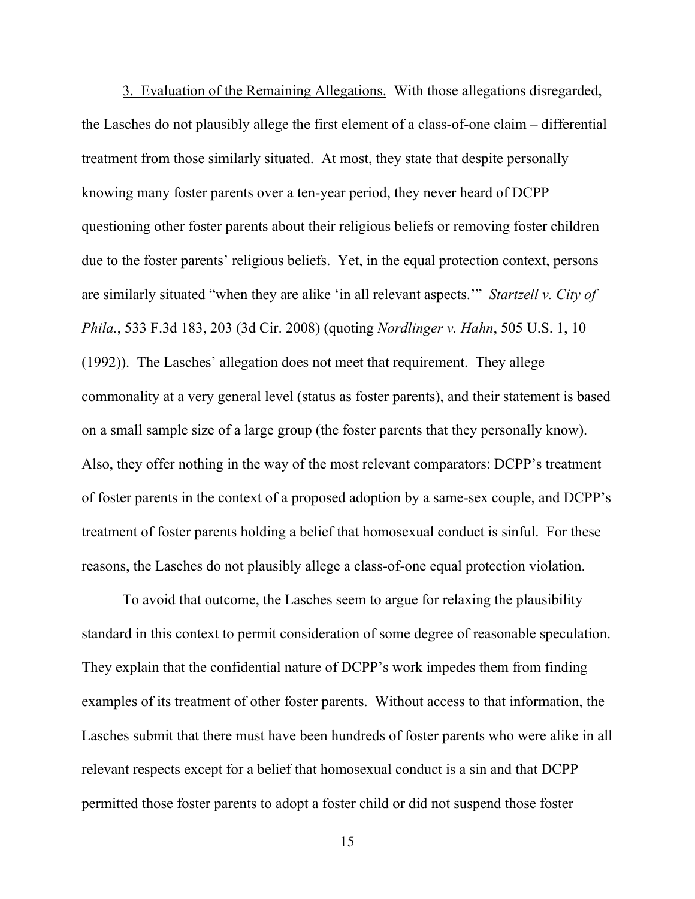3. Evaluation of the Remaining Allegations. With those allegations disregarded, the Lasches do not plausibly allege the first element of a class-of-one claim – differential treatment from those similarly situated. At most, they state that despite personally knowing many foster parents over a ten-year period, they never heard of DCPP questioning other foster parents about their religious beliefs or removing foster children due to the foster parents' religious beliefs. Yet, in the equal protection context, persons are similarly situated "when they are alike 'in all relevant aspects.'" *Startzell v. City of Phila.*, 533 F.3d 183, 203 (3d Cir. 2008) (quoting *Nordlinger v. Hahn*, 505 U.S. 1, 10 (1992)). The Lasches' allegation does not meet that requirement. They allege commonality at a very general level (status as foster parents), and their statement is based on a small sample size of a large group (the foster parents that they personally know). Also, they offer nothing in the way of the most relevant comparators: DCPP's treatment of foster parents in the context of a proposed adoption by a same-sex couple, and DCPP's treatment of foster parents holding a belief that homosexual conduct is sinful. For these reasons, the Lasches do not plausibly allege a class-of-one equal protection violation.

To avoid that outcome, the Lasches seem to argue for relaxing the plausibility standard in this context to permit consideration of some degree of reasonable speculation. They explain that the confidential nature of DCPP's work impedes them from finding examples of its treatment of other foster parents. Without access to that information, the Lasches submit that there must have been hundreds of foster parents who were alike in all relevant respects except for a belief that homosexual conduct is a sin and that DCPP permitted those foster parents to adopt a foster child or did not suspend those foster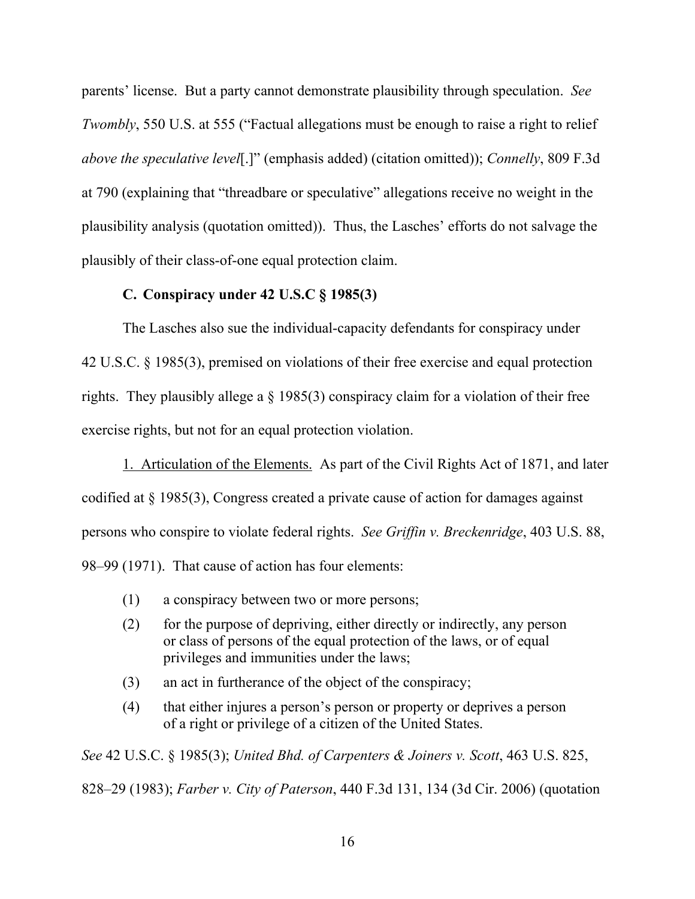parents' license. But a party cannot demonstrate plausibility through speculation. *See Twombly*, 550 U.S. at 555 ("Factual allegations must be enough to raise a right to relief *above the speculative level*[.]" (emphasis added) (citation omitted)); *Connelly*, 809 F.3d at 790 (explaining that "threadbare or speculative" allegations receive no weight in the plausibility analysis (quotation omitted)). Thus, the Lasches' efforts do not salvage the plausibly of their class-of-one equal protection claim.

## **C. Conspiracy under 42 U.S.C § 1985(3)**

The Lasches also sue the individual-capacity defendants for conspiracy under 42 U.S.C. § 1985(3), premised on violations of their free exercise and equal protection rights. They plausibly allege a § 1985(3) conspiracy claim for a violation of their free exercise rights, but not for an equal protection violation.

1. Articulation of the Elements. As part of the Civil Rights Act of 1871, and later codified at § 1985(3), Congress created a private cause of action for damages against persons who conspire to violate federal rights. *See Griffin v. Breckenridge*, 403 U.S. 88, 98–99 (1971). That cause of action has four elements:

- (1) a conspiracy between two or more persons;
- (2) for the purpose of depriving, either directly or indirectly, any person or class of persons of the equal protection of the laws, or of equal privileges and immunities under the laws;
- (3) an act in furtherance of the object of the conspiracy;
- (4) that either injures a person's person or property or deprives a person of a right or privilege of a citizen of the United States.

*See* 42 U.S.C. § 1985(3); *United Bhd. of Carpenters & Joiners v. Scott*, 463 U.S. 825,

828–29 (1983); *Farber v. City of Paterson*, 440 F.3d 131, 134 (3d Cir. 2006) (quotation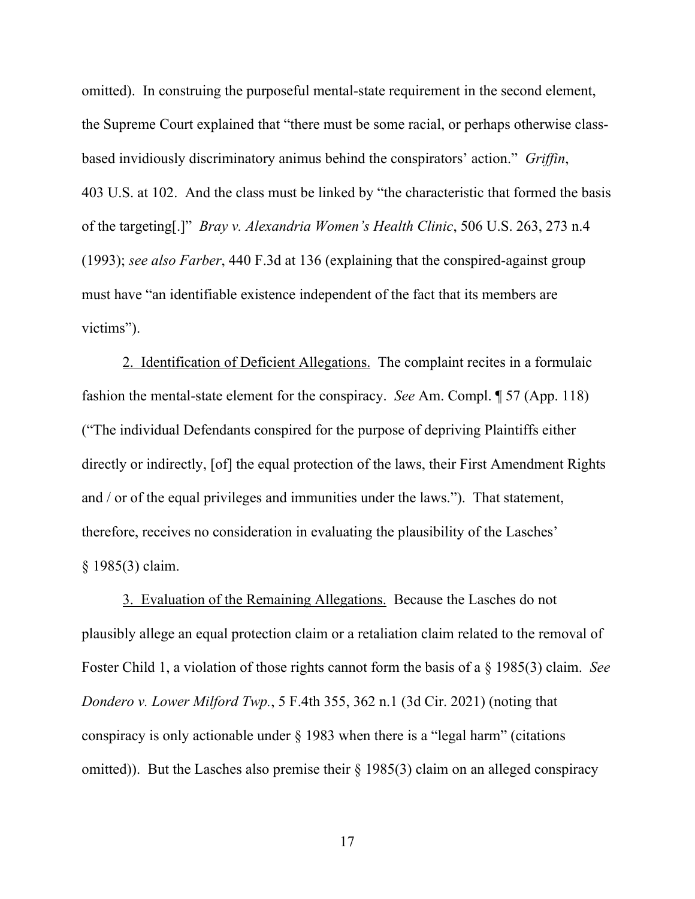omitted). In construing the purposeful mental-state requirement in the second element, the Supreme Court explained that "there must be some racial, or perhaps otherwise classbased invidiously discriminatory animus behind the conspirators' action." *Griffin*, 403 U.S. at 102. And the class must be linked by "the characteristic that formed the basis of the targeting[.]" *Bray v. Alexandria Women's Health Clinic*, 506 U.S. 263, 273 n.4 (1993); *see also Farber*, 440 F.3d at 136 (explaining that the conspired-against group must have "an identifiable existence independent of the fact that its members are victims").

2. Identification of Deficient Allegations. The complaint recites in a formulaic fashion the mental-state element for the conspiracy. *See* Am. Compl. ¶ 57 (App. 118) ("The individual Defendants conspired for the purpose of depriving Plaintiffs either directly or indirectly, [of] the equal protection of the laws, their First Amendment Rights and / or of the equal privileges and immunities under the laws."). That statement, therefore, receives no consideration in evaluating the plausibility of the Lasches' § 1985(3) claim.

3. Evaluation of the Remaining Allegations. Because the Lasches do not plausibly allege an equal protection claim or a retaliation claim related to the removal of Foster Child 1, a violation of those rights cannot form the basis of a § 1985(3) claim. *See Dondero v. Lower Milford Twp.*, 5 F.4th 355, 362 n.1 (3d Cir. 2021) (noting that conspiracy is only actionable under § 1983 when there is a "legal harm" (citations omitted)). But the Lasches also premise their § 1985(3) claim on an alleged conspiracy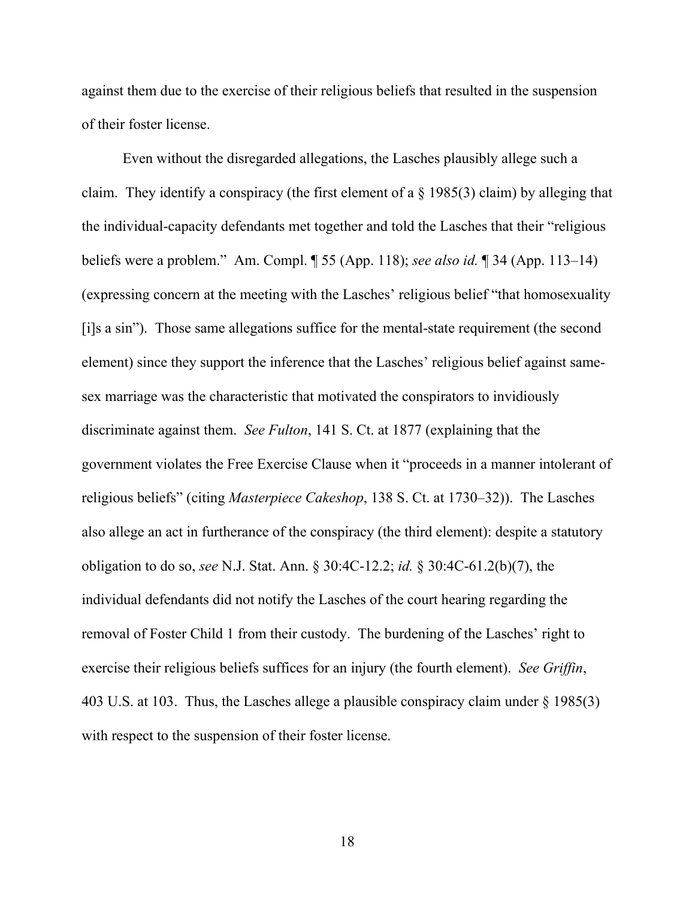against them due to the exercise of their religious beliefs that resulted in the suspension of their foster license.

Even without the disregarded allegations, the Lasches plausibly allege such a claim. They identify a conspiracy (the first element of a § 1985(3) claim) by alleging that the individual-capacity defendants met together and told the Lasches that their "religious beliefs were a problem." Am. Compl. ¶ 55 (App. 118); *see also id.* ¶ 34 (App. 113–14) (expressing concern at the meeting with the Lasches' religious belief "that homosexuality [i]s a sin"). Those same allegations suffice for the mental-state requirement (the second element) since they support the inference that the Lasches' religious belief against samesex marriage was the characteristic that motivated the conspirators to invidiously discriminate against them. *See Fulton*, 141 S. Ct. at 1877 (explaining that the government violates the Free Exercise Clause when it "proceeds in a manner intolerant of religious beliefs" (citing *Masterpiece Cakeshop*, 138 S. Ct. at 1730–32)). The Lasches also allege an act in furtherance of the conspiracy (the third element): despite a statutory obligation to do so, *see* N.J. Stat. Ann. § 30:4C-12.2; *id.* § 30:4C-61.2(b)(7), the individual defendants did not notify the Lasches of the court hearing regarding the removal of Foster Child 1 from their custody. The burdening of the Lasches' right to exercise their religious beliefs suffices for an injury (the fourth element). *See Griffin*, 403 U.S. at 103. Thus, the Lasches allege a plausible conspiracy claim under § 1985(3) with respect to the suspension of their foster license.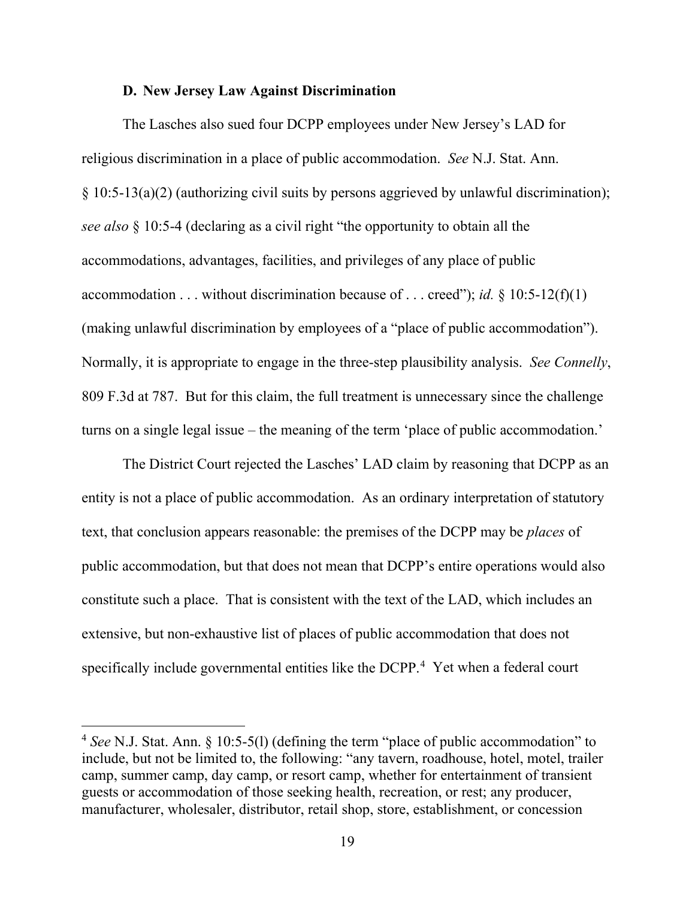#### **D. New Jersey Law Against Discrimination**

The Lasches also sued four DCPP employees under New Jersey's LAD for religious discrimination in a place of public accommodation. *See* N.J. Stat. Ann. § 10:5-13(a)(2) (authorizing civil suits by persons aggrieved by unlawful discrimination); *see also* § 10:5-4 (declaring as a civil right "the opportunity to obtain all the accommodations, advantages, facilities, and privileges of any place of public accommodation . . . without discrimination because of . . . creed"); *id.* § 10:5-12(f)(1) (making unlawful discrimination by employees of a "place of public accommodation"). Normally, it is appropriate to engage in the three-step plausibility analysis. *See Connelly*, 809 F.3d at 787. But for this claim, the full treatment is unnecessary since the challenge turns on a single legal issue – the meaning of the term 'place of public accommodation.'

The District Court rejected the Lasches' LAD claim by reasoning that DCPP as an entity is not a place of public accommodation. As an ordinary interpretation of statutory text, that conclusion appears reasonable: the premises of the DCPP may be *places* of public accommodation, but that does not mean that DCPP's entire operations would also constitute such a place. That is consistent with the text of the LAD, which includes an extensive, but non-exhaustive list of places of public accommodation that does not specifically include governmental entities like the DCPP. 4 Yet when a federal court

<sup>4</sup> *See* N.J. Stat. Ann. § 10:5-5(l) (defining the term "place of public accommodation" to include, but not be limited to, the following: "any tavern, roadhouse, hotel, motel, trailer camp, summer camp, day camp, or resort camp, whether for entertainment of transient guests or accommodation of those seeking health, recreation, or rest; any producer, manufacturer, wholesaler, distributor, retail shop, store, establishment, or concession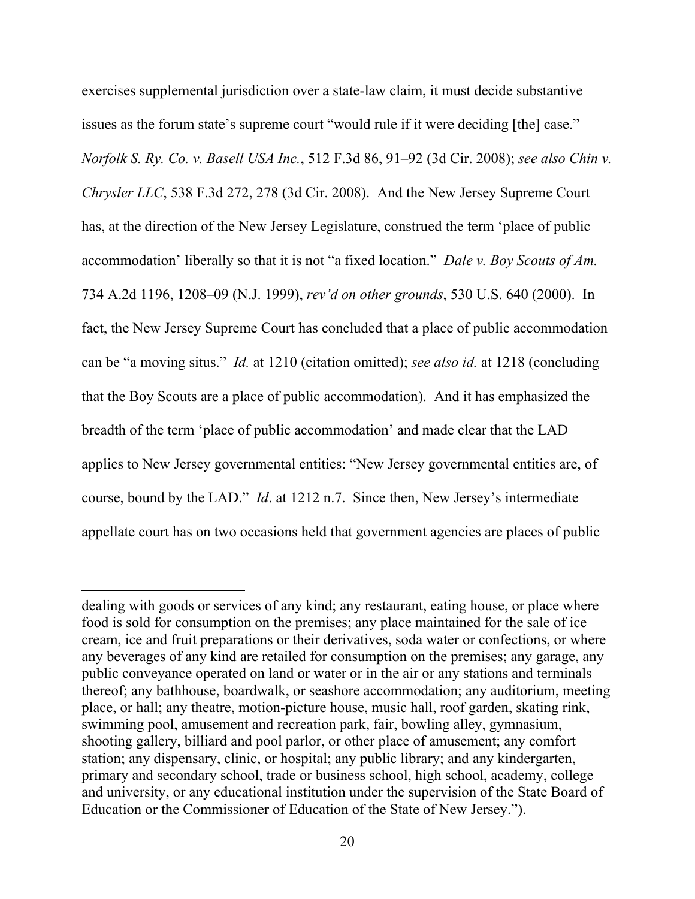exercises supplemental jurisdiction over a state-law claim, it must decide substantive issues as the forum state's supreme court "would rule if it were deciding [the] case." *Norfolk S. Ry. Co. v. Basell USA Inc.*, 512 F.3d 86, 91–92 (3d Cir. 2008); *see also Chin v. Chrysler LLC*, 538 F.3d 272, 278 (3d Cir. 2008). And the New Jersey Supreme Court has, at the direction of the New Jersey Legislature, construed the term 'place of public accommodation' liberally so that it is not "a fixed location." *Dale v. Boy Scouts of Am.*  734 A.2d 1196, 1208–09 (N.J. 1999), *rev'd on other grounds*, 530 U.S. 640 (2000). In fact, the New Jersey Supreme Court has concluded that a place of public accommodation can be "a moving situs." *Id.* at 1210 (citation omitted); *see also id.* at 1218 (concluding that the Boy Scouts are a place of public accommodation). And it has emphasized the breadth of the term 'place of public accommodation' and made clear that the LAD applies to New Jersey governmental entities: "New Jersey governmental entities are, of course, bound by the LAD." *Id*. at 1212 n.7. Since then, New Jersey's intermediate appellate court has on two occasions held that government agencies are places of public

dealing with goods or services of any kind; any restaurant, eating house, or place where food is sold for consumption on the premises; any place maintained for the sale of ice cream, ice and fruit preparations or their derivatives, soda water or confections, or where any beverages of any kind are retailed for consumption on the premises; any garage, any public conveyance operated on land or water or in the air or any stations and terminals thereof; any bathhouse, boardwalk, or seashore accommodation; any auditorium, meeting place, or hall; any theatre, motion-picture house, music hall, roof garden, skating rink, swimming pool, amusement and recreation park, fair, bowling alley, gymnasium, shooting gallery, billiard and pool parlor, or other place of amusement; any comfort station; any dispensary, clinic, or hospital; any public library; and any kindergarten, primary and secondary school, trade or business school, high school, academy, college and university, or any educational institution under the supervision of the State Board of Education or the Commissioner of Education of the State of New Jersey.").